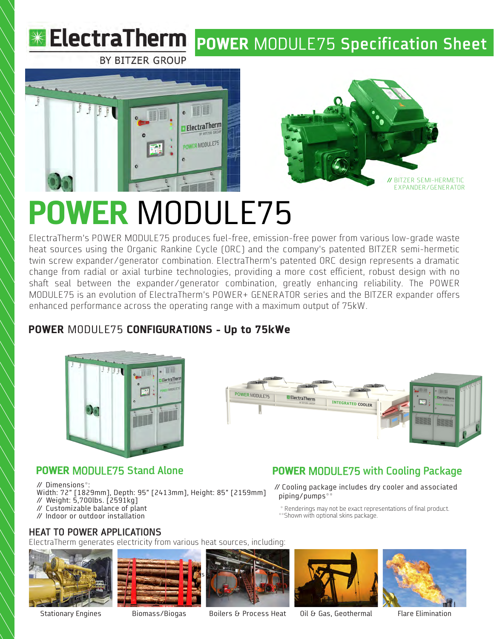



# **POWER** MODULE75

ElectraTherm's POWER MODULE75 produces fuel-free, emission-free power from various low-grade waste heat sources using the Organic Rankine Cycle (ORC) and the company's patented BITZER semi-hermetic twin screw expander/generator combination. ElectraTherm's patented ORC design represents a dramatic change from radial or axial turbine technologies, providing a more cost efficient, robust design with no shaft seal between the expander/generator combination, greatly enhancing reliability. The POWER MODULE75 is an evolution of ElectraTherm's POWER+ GENERATOR series and the BITZER expander offers enhanced performance across the operating range with a maximum output of 75kW.

# **POWER** MODULE75 **CONFIGURATIONS - Up to 75kWe**





**POWER** MODULE75 **with Cooling Package** // Cooling package includes dry cooler and associated

\* Renderings may not be exact representations of final product.

# **POWER** MODULE75 **Stand Alone**

// Dimensions\*:

Width: 72" [1829mm], Depth: 95" [2413mm], Height: 85" [2159mm] // Weight: 5,700lbs. [2591kg]

- // Customizable balance of plant
- // Indoor or outdoor installation

### **HEAT TO POWER APPLICATIONS**

ElectraTherm generates electricity from various heat sources, including:







\*\* Shown with optional skins package.

piping/pumps\*\*

Stationary Engines Biomass/Biogas Boilers & Process Heat 0il & Gas, Geothermal Flare Elimination